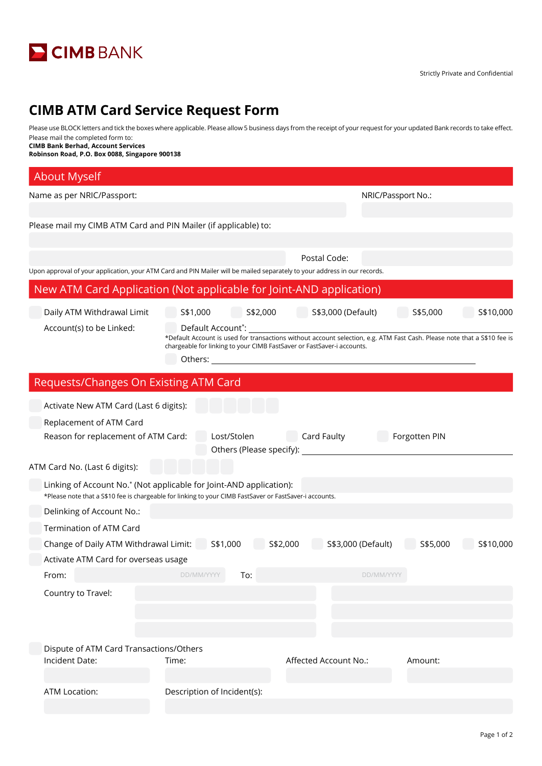

## **CIMB ATM Card Service Request Form**

Please use BLOCK letters and tick the boxes where applicable. Please allow 5 business days from the receipt of your request for your updated Bank records to take effect. Please mail the completed form to:

**CIMB Bank Berhad, Account Services**

**Robinson Road, P.O. Box 0088, Singapore 900138**

| <b>About Myself</b>                                                                                                       |                                                                                                                                                                                                    |                                                                                                                |                       |  |  |  |
|---------------------------------------------------------------------------------------------------------------------------|----------------------------------------------------------------------------------------------------------------------------------------------------------------------------------------------------|----------------------------------------------------------------------------------------------------------------|-----------------------|--|--|--|
| Name as per NRIC/Passport:                                                                                                |                                                                                                                                                                                                    | NRIC/Passport No.:                                                                                             |                       |  |  |  |
|                                                                                                                           |                                                                                                                                                                                                    |                                                                                                                |                       |  |  |  |
| Please mail my CIMB ATM Card and PIN Mailer (if applicable) to:                                                           |                                                                                                                                                                                                    |                                                                                                                |                       |  |  |  |
|                                                                                                                           |                                                                                                                                                                                                    |                                                                                                                |                       |  |  |  |
|                                                                                                                           |                                                                                                                                                                                                    | Postal Code:                                                                                                   |                       |  |  |  |
| Upon approval of your application, your ATM Card and PIN Mailer will be mailed separately to your address in our records. |                                                                                                                                                                                                    |                                                                                                                |                       |  |  |  |
| New ATM Card Application (Not applicable for Joint-AND application)                                                       |                                                                                                                                                                                                    |                                                                                                                |                       |  |  |  |
| Daily ATM Withdrawal Limit                                                                                                | S\$1,000<br>S\$2,000                                                                                                                                                                               | S\$3,000 (Default)                                                                                             | S\$5,000<br>S\$10,000 |  |  |  |
| Account(s) to be Linked:                                                                                                  | Default Account*:                                                                                                                                                                                  |                                                                                                                |                       |  |  |  |
|                                                                                                                           | *Default Account is used for transactions without account selection, e.g. ATM Fast Cash. Please note that a S\$10 fee is<br>chargeable for linking to your CIMB FastSaver or FastSaver-i accounts. |                                                                                                                |                       |  |  |  |
|                                                                                                                           | Others:                                                                                                                                                                                            | <u> 1989 - John Stein, Amerikaansk politiker (</u> † 1920)                                                     |                       |  |  |  |
| Requests/Changes On Existing ATM Card                                                                                     |                                                                                                                                                                                                    |                                                                                                                |                       |  |  |  |
| Activate New ATM Card (Last 6 digits):                                                                                    |                                                                                                                                                                                                    |                                                                                                                |                       |  |  |  |
| Replacement of ATM Card                                                                                                   |                                                                                                                                                                                                    |                                                                                                                |                       |  |  |  |
| Reason for replacement of ATM Card:                                                                                       | Lost/Stolen                                                                                                                                                                                        | Card Faulty                                                                                                    | Forgotten PIN         |  |  |  |
|                                                                                                                           |                                                                                                                                                                                                    | Others (Please specify): University of the set of the set of the set of the set of the set of the set of the s |                       |  |  |  |
| ATM Card No. (Last 6 digits):                                                                                             |                                                                                                                                                                                                    |                                                                                                                |                       |  |  |  |
| Linking of Account No.* (Not applicable for Joint-AND application):                                                       |                                                                                                                                                                                                    |                                                                                                                |                       |  |  |  |
| *Please note that a S\$10 fee is chargeable for linking to your CIMB FastSaver or FastSaver-i accounts.                   |                                                                                                                                                                                                    |                                                                                                                |                       |  |  |  |
| Delinking of Account No.:                                                                                                 |                                                                                                                                                                                                    |                                                                                                                |                       |  |  |  |
| Termination of ATM Card                                                                                                   |                                                                                                                                                                                                    |                                                                                                                |                       |  |  |  |
| Change of Daily ATM Withdrawal Limit: S\$1,000                                                                            |                                                                                                                                                                                                    | S\$3,000 (Default)<br>S\$2,000                                                                                 | S\$5,000<br>S\$10,000 |  |  |  |
| Activate ATM Card for overseas usage                                                                                      | DD/MM/YYYY <b>To:</b>                                                                                                                                                                              |                                                                                                                |                       |  |  |  |
| From:                                                                                                                     |                                                                                                                                                                                                    | DD/MM/YYYY                                                                                                     |                       |  |  |  |
| Country to Travel:                                                                                                        |                                                                                                                                                                                                    |                                                                                                                |                       |  |  |  |
|                                                                                                                           |                                                                                                                                                                                                    |                                                                                                                |                       |  |  |  |
|                                                                                                                           |                                                                                                                                                                                                    |                                                                                                                |                       |  |  |  |
| Dispute of ATM Card Transactions/Others                                                                                   |                                                                                                                                                                                                    |                                                                                                                |                       |  |  |  |
| Incident Date:                                                                                                            | Time:                                                                                                                                                                                              | Affected Account No.:                                                                                          | Amount:               |  |  |  |
|                                                                                                                           |                                                                                                                                                                                                    |                                                                                                                |                       |  |  |  |
| <b>ATM Location:</b>                                                                                                      | Description of Incident(s):                                                                                                                                                                        |                                                                                                                |                       |  |  |  |
|                                                                                                                           |                                                                                                                                                                                                    |                                                                                                                |                       |  |  |  |